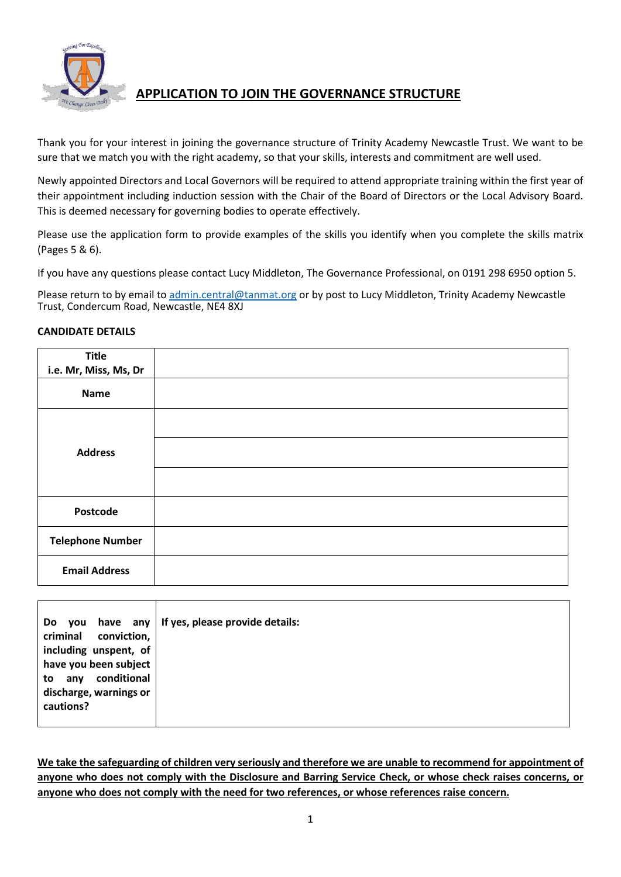

## **APPLICATION TO JOIN THE GOVERNANCE STRUCTURE**

Thank you for your interest in joining the governance structure of Trinity Academy Newcastle Trust. We want to be sure that we match you with the right academy, so that your skills, interests and commitment are well used.

Newly appointed Directors and Local Governors will be required to attend appropriate training within the first year of their appointment including induction session with the Chair of the Board of Directors or the Local Advisory Board. This is deemed necessary for governing bodies to operate effectively.

Please use the application form to provide examples of the skills you identify when you complete the skills matrix (Pages 5 & 6).

If you have any questions please contact Lucy Middleton, The Governance Professional, on 0191 298 6950 option 5.

Please return to by email to [admin.central@tanmat.org](mailto:admin.central@tanmat.org) or by post to Lucy Middleton, Trinity Academy Newcastle Trust, Condercum Road, Newcastle, NE4 8XJ

#### **CANDIDATE DETAILS**

| <b>Title</b>            |  |
|-------------------------|--|
| i.e. Mr, Miss, Ms, Dr   |  |
| <b>Name</b>             |  |
|                         |  |
| <b>Address</b>          |  |
|                         |  |
| Postcode                |  |
| <b>Telephone Number</b> |  |
| <b>Email Address</b>    |  |

| Do<br>have any<br><b>vou</b> | If yes, please provide details: |
|------------------------------|---------------------------------|
| criminal conviction,         |                                 |
| including unspent, of        |                                 |
| have you been subject        |                                 |
| conditional<br>to any        |                                 |
| discharge, warnings or       |                                 |
| cautions?                    |                                 |
|                              |                                 |

**We take the safeguarding of children very seriously and therefore we are unable to recommend for appointment of anyone who does not comply with the Disclosure and Barring Service Check, or whose check raises concerns, or anyone who does not comply with the need for two references, or whose references raise concern.**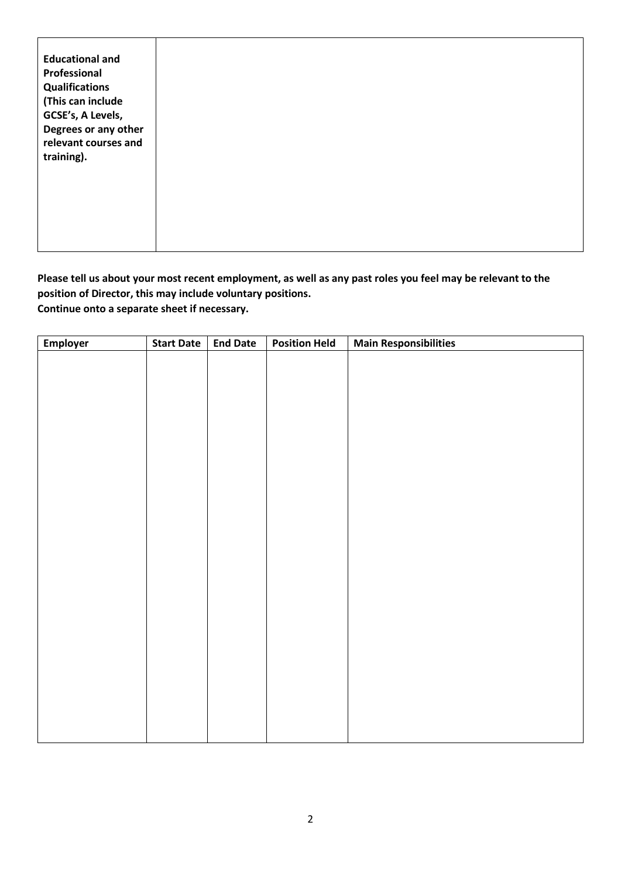**Please tell us about your most recent employment, as well as any past roles you feel may be relevant to the position of Director, this may include voluntary positions. Continue onto a separate sheet if necessary.** 

| Employer | <b>Start Date</b> | <b>End Date</b> | <b>Position Held</b> | <b>Main Responsibilities</b> |
|----------|-------------------|-----------------|----------------------|------------------------------|
|          |                   |                 |                      |                              |
|          |                   |                 |                      |                              |
|          |                   |                 |                      |                              |
|          |                   |                 |                      |                              |
|          |                   |                 |                      |                              |
|          |                   |                 |                      |                              |
|          |                   |                 |                      |                              |
|          |                   |                 |                      |                              |
|          |                   |                 |                      |                              |
|          |                   |                 |                      |                              |
|          |                   |                 |                      |                              |
|          |                   |                 |                      |                              |
|          |                   |                 |                      |                              |
|          |                   |                 |                      |                              |
|          |                   |                 |                      |                              |
|          |                   |                 |                      |                              |
|          |                   |                 |                      |                              |
|          |                   |                 |                      |                              |
|          |                   |                 |                      |                              |
|          |                   |                 |                      |                              |
|          |                   |                 |                      |                              |
|          |                   |                 |                      |                              |
|          |                   |                 |                      |                              |
|          |                   |                 |                      |                              |
|          |                   |                 |                      |                              |
|          |                   |                 |                      |                              |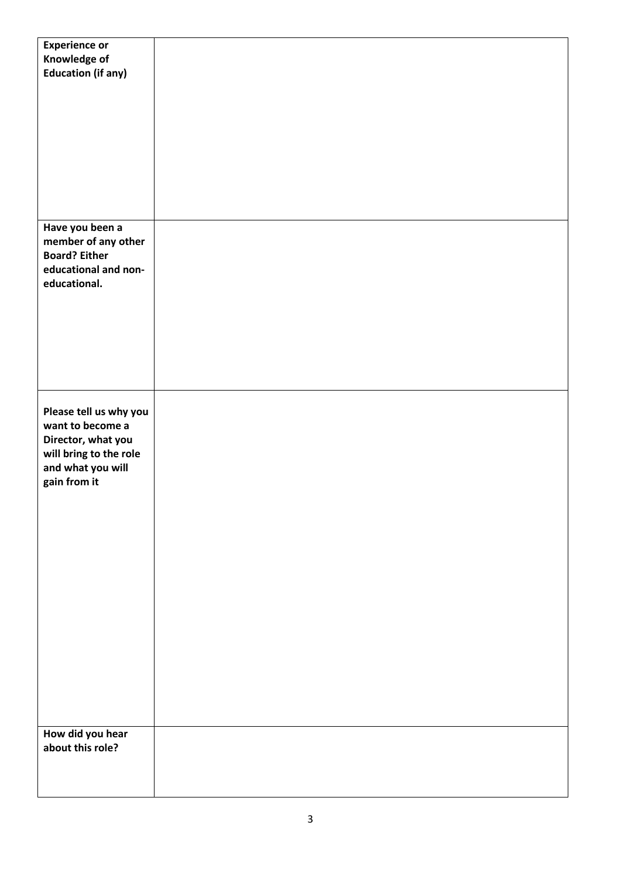| <b>Experience or</b>      |  |
|---------------------------|--|
| Knowledge of              |  |
| <b>Education (if any)</b> |  |
|                           |  |
|                           |  |
|                           |  |
|                           |  |
|                           |  |
|                           |  |
|                           |  |
|                           |  |
|                           |  |
|                           |  |
|                           |  |
|                           |  |
|                           |  |
|                           |  |
| Have you been a           |  |
| member of any other       |  |
| <b>Board? Either</b>      |  |
|                           |  |
| educational and non-      |  |
| educational.              |  |
|                           |  |
|                           |  |
|                           |  |
|                           |  |
|                           |  |
|                           |  |
|                           |  |
|                           |  |
|                           |  |
|                           |  |
|                           |  |
| Please tell us why you    |  |
| want to become a          |  |
| Director, what you        |  |
| will bring to the role    |  |
|                           |  |
| and what you will         |  |
| gain from it              |  |
|                           |  |
|                           |  |
|                           |  |
|                           |  |
|                           |  |
|                           |  |
|                           |  |
|                           |  |
|                           |  |
|                           |  |
|                           |  |
|                           |  |
|                           |  |
|                           |  |
|                           |  |
|                           |  |
|                           |  |
|                           |  |
|                           |  |
|                           |  |
|                           |  |
|                           |  |
| How did you hear          |  |
| about this role?          |  |
|                           |  |
|                           |  |
|                           |  |
|                           |  |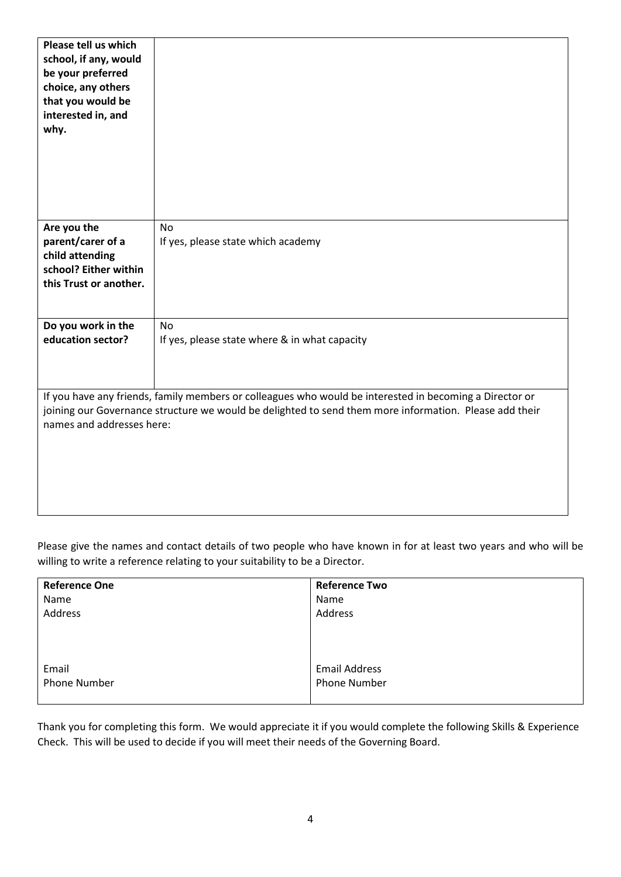| Please tell us which<br>school, if any, would<br>be your preferred<br>choice, any others<br>that you would be<br>interested in, and<br>why. |                                                                                                                                                                                                                   |
|---------------------------------------------------------------------------------------------------------------------------------------------|-------------------------------------------------------------------------------------------------------------------------------------------------------------------------------------------------------------------|
| Are you the<br>parent/carer of a<br>child attending<br>school? Either within<br>this Trust or another.                                      | <b>No</b><br>If yes, please state which academy                                                                                                                                                                   |
| Do you work in the<br>education sector?                                                                                                     | No<br>If yes, please state where & in what capacity                                                                                                                                                               |
| names and addresses here:                                                                                                                   | If you have any friends, family members or colleagues who would be interested in becoming a Director or<br>joining our Governance structure we would be delighted to send them more information. Please add their |

Please give the names and contact details of two people who have known in for at least two years and who will be willing to write a reference relating to your suitability to be a Director.

| <b>Reference One</b> | <b>Reference Two</b> |
|----------------------|----------------------|
| Name                 | Name                 |
| Address              | Address              |
|                      |                      |
|                      |                      |
|                      |                      |
| Email                | <b>Email Address</b> |
| <b>Phone Number</b>  | <b>Phone Number</b>  |
|                      |                      |

Thank you for completing this form. We would appreciate it if you would complete the following Skills & Experience Check. This will be used to decide if you will meet their needs of the Governing Board.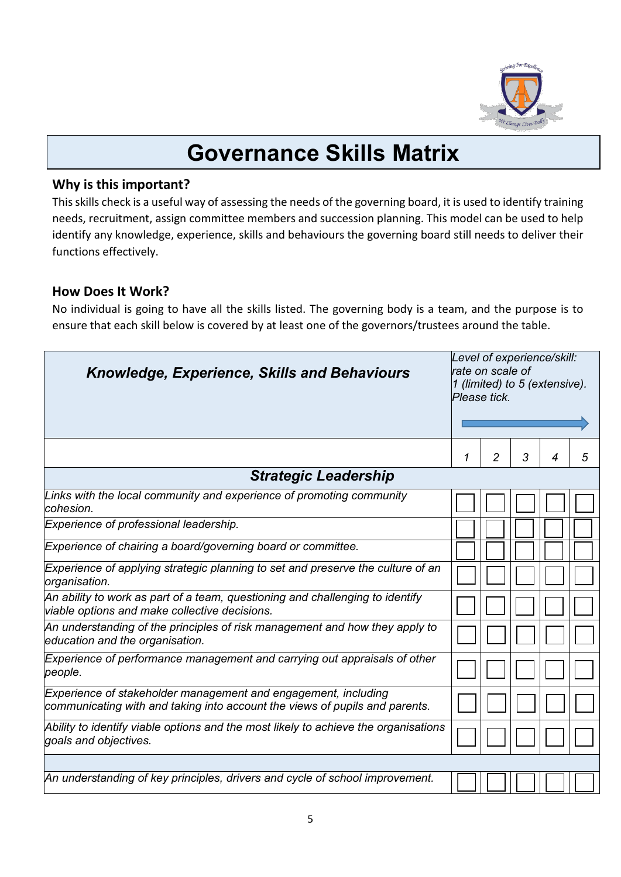

# **Governance Skills Matrix**

### **Why is this important?**

This skills check is a useful way of assessing the needs of the governing board, it is used to identify training needs, recruitment, assign committee members and succession planning. This model can be used to help identify any knowledge, experience, skills and behaviours the governing board still needs to deliver their functions effectively.

### **How Does It Work?**

No individual is going to have all the skills listed. The governing body is a team, and the purpose is to ensure that each skill below is covered by at least one of the governors/trustees around the table.

| <b>Knowledge, Experience, Skills and Behaviours</b>                                                                                           | Level of experience/skill:<br>rate on scale of<br>1 (limited) to 5 (extensive).<br>Please tick. |   |   |   |   |
|-----------------------------------------------------------------------------------------------------------------------------------------------|-------------------------------------------------------------------------------------------------|---|---|---|---|
|                                                                                                                                               | 1                                                                                               | 2 | 3 | 4 | 5 |
| <b>Strategic Leadership</b>                                                                                                                   |                                                                                                 |   |   |   |   |
| Links with the local community and experience of promoting community<br>cohesion.                                                             |                                                                                                 |   |   |   |   |
| Experience of professional leadership.                                                                                                        |                                                                                                 |   |   |   |   |
| Experience of chairing a board/governing board or committee.                                                                                  |                                                                                                 |   |   |   |   |
| Experience of applying strategic planning to set and preserve the culture of an<br>organisation.                                              |                                                                                                 |   |   |   |   |
| An ability to work as part of a team, questioning and challenging to identify<br>viable options and make collective decisions.                |                                                                                                 |   |   |   |   |
| An understanding of the principles of risk management and how they apply to<br>education and the organisation.                                |                                                                                                 |   |   |   |   |
| Experience of performance management and carrying out appraisals of other<br>people.                                                          |                                                                                                 |   |   |   |   |
| Experience of stakeholder management and engagement, including<br>communicating with and taking into account the views of pupils and parents. |                                                                                                 |   |   |   |   |
| Ability to identify viable options and the most likely to achieve the organisations<br>goals and objectives.                                  |                                                                                                 |   |   |   |   |
|                                                                                                                                               |                                                                                                 |   |   |   |   |
| An understanding of key principles, drivers and cycle of school improvement.                                                                  |                                                                                                 |   |   |   |   |